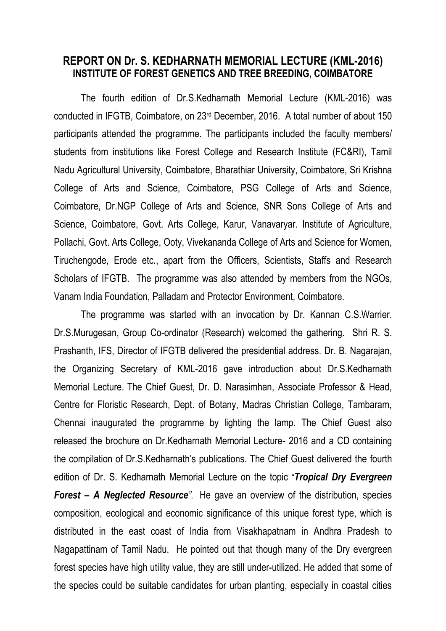## **REPORT ON Dr. S. KEDHARNATH MEMORIAL LECTURE (KML-2016) INSTITUTE OF FOREST GENETICS AND TREE BREEDING, COIMBATORE**

The fourth edition of Dr.S.Kedharnath Memorial Lecture (KML-2016) was conducted in IFGTB, Coimbatore, on 23rd December, 2016. A total number of about 150 participants attended the programme. The participants included the faculty members/ students from institutions like Forest College and Research Institute (FC&RI), Tamil Nadu Agricultural University, Coimbatore, Bharathiar University, Coimbatore, Sri Krishna College of Arts and Science, Coimbatore, PSG College of Arts and Science, Coimbatore, Dr.NGP College of Arts and Science, SNR Sons College of Arts and Science, Coimbatore, Govt. Arts College, Karur, Vanavaryar. Institute of Agriculture, Pollachi, Govt. Arts College, Ooty, Vivekananda College of Arts and Science for Women, Tiruchengode, Erode etc., apart from the Officers, Scientists, Staffs and Research Scholars of IFGTB. The programme was also attended by members from the NGOs, Vanam India Foundation, Palladam and Protector Environment, Coimbatore.

The programme was started with an invocation by Dr. Kannan C.S.Warrier. Dr.S.Murugesan, Group Co-ordinator (Research) welcomed the gathering. Shri R. S. Prashanth, IFS, Director of IFGTB delivered the presidential address. Dr. B. Nagarajan, the Organizing Secretary of KML-2016 gave introduction about Dr.S.Kedharnath Memorial Lecture. The Chief Guest, Dr. D. Narasimhan, Associate Professor & Head, Centre for Floristic Research, Dept. of Botany, Madras Christian College, Tambaram, Chennai inaugurated the programme by lighting the lamp. The Chief Guest also released the brochure on Dr.Kedharnath Memorial Lecture- 2016 and a CD containing the compilation of Dr.S.Kedharnath's publications. The Chief Guest delivered the fourth edition of Dr. S. Kedharnath Memorial Lecture on the topic "*Tropical Dry Evergreen Forest – A Neglected Resource"*. He gave an overview of the distribution, species composition, ecological and economic significance of this unique forest type, which is distributed in the east coast of India from Visakhapatnam in Andhra Pradesh to Nagapattinam of Tamil Nadu. He pointed out that though many of the Dry evergreen forest species have high utility value, they are still under-utilized. He added that some of the species could be suitable candidates for urban planting, especially in coastal cities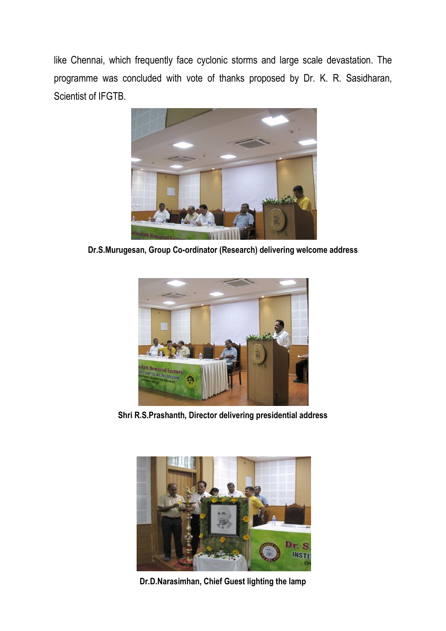like Chennai, which frequently face cyclonic storms and large scale devastation. The programme was concluded with vote of thanks proposed by Dr. K. R. Sasidharan, Scientist of IFGTB.



**Dr.S.Murugesan, Group Co-ordinator (Research) delivering welcome address**



**Shri R.S.Prashanth, Director delivering presidential address**



**Dr.D.Narasimhan, Chief Guest lighting the lamp**